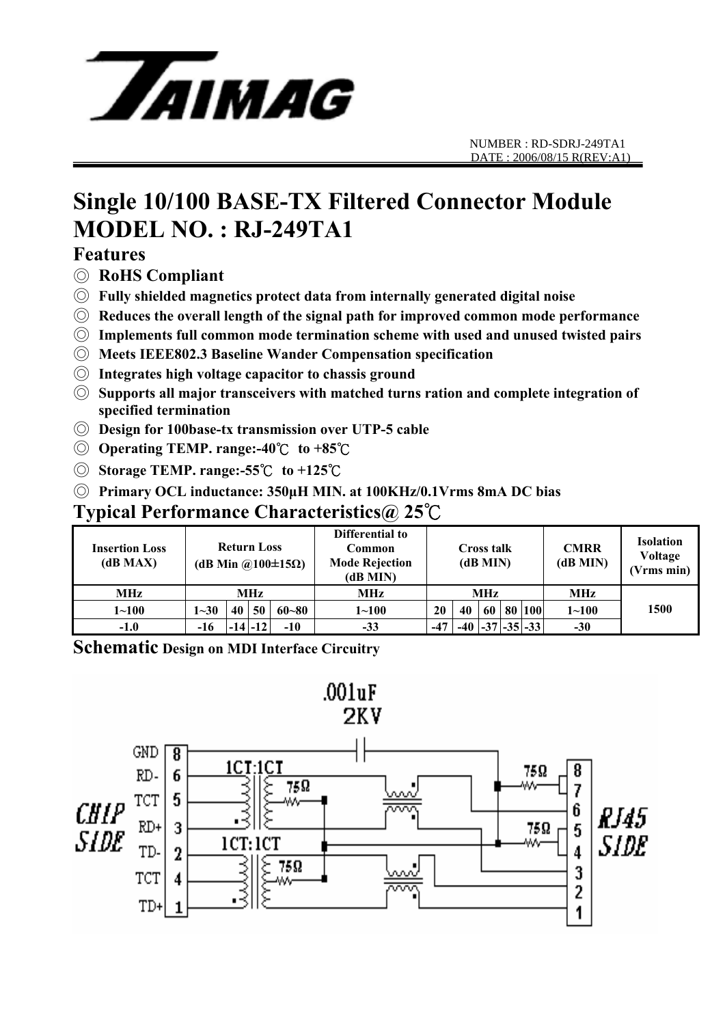

# **Single 10/100 BASE-TX Filtered Connector Module MODEL NO. : RJ-249TA1**

## **Features**

- ◎ **RoHS Compliant**
- ◎ **Fully shielded magnetics protect data from internally generated digital noise**
- ◎ **Reduces the overall length of the signal path for improved common mode performance**
- ◎ **Implements full common mode termination scheme with used and unused twisted pairs**
- ◎ **Meets IEEE802.3 Baseline Wander Compensation specification**
- ◎ **Integrates high voltage capacitor to chassis ground**
- ◎ **Supports all major transceivers with matched turns ration and complete integration of specified termination**
- ◎ **Design for 100base-tx transmission over UTP-5 cable**
- ◎ **Operating TEMP. range:-40**℃ **to +85**℃
- ◎ **Storage TEMP. range:-55**℃ **to +125**℃
- ◎ **Primary OCL inductance: 350μH MIN. at 100KHz/0.1Vrms 8mA DC bias**

## **Typical Performance Characteristics@ 25**℃

| <b>Insertion Loss</b><br>(dB MAX) | <b>Return Loss</b><br>(dB Min @100 $\pm$ 15 $\Omega$ ) |    |             |           | Differential to<br>Common<br><b>Mode Rejection</b><br>(dB MIN) | <b>Cross talk</b><br>(dB MIN) |    |  |  | <b>CMRR</b><br>(dB MIN)     | <b>Isolation</b><br>Voltage<br>(Vrms min) |      |
|-----------------------------------|--------------------------------------------------------|----|-------------|-----------|----------------------------------------------------------------|-------------------------------|----|--|--|-----------------------------|-------------------------------------------|------|
| <b>MHz</b>                        | <b>MHz</b>                                             |    |             |           | <b>MHz</b>                                                     | <b>MHz</b>                    |    |  |  |                             | <b>MHz</b>                                |      |
| $1 \!\!\sim\!\! 100$              | $1 - 30$                                               | 40 | 50          | $60 - 80$ | $1 \!\!\sim\!\! 100$                                           | <b>20</b>                     | 40 |  |  | 60   80   100               | $1 - 100$                                 | 1500 |
| $-1.0$                            | -16                                                    |    | $-14$ $-12$ | $-10$     | $-33$                                                          | $-47$                         |    |  |  | $-40$ $ -37 $ $-35 $ $-33 $ | $-30$                                     |      |

**Schematic Design on MDI Interface Circuitry** 

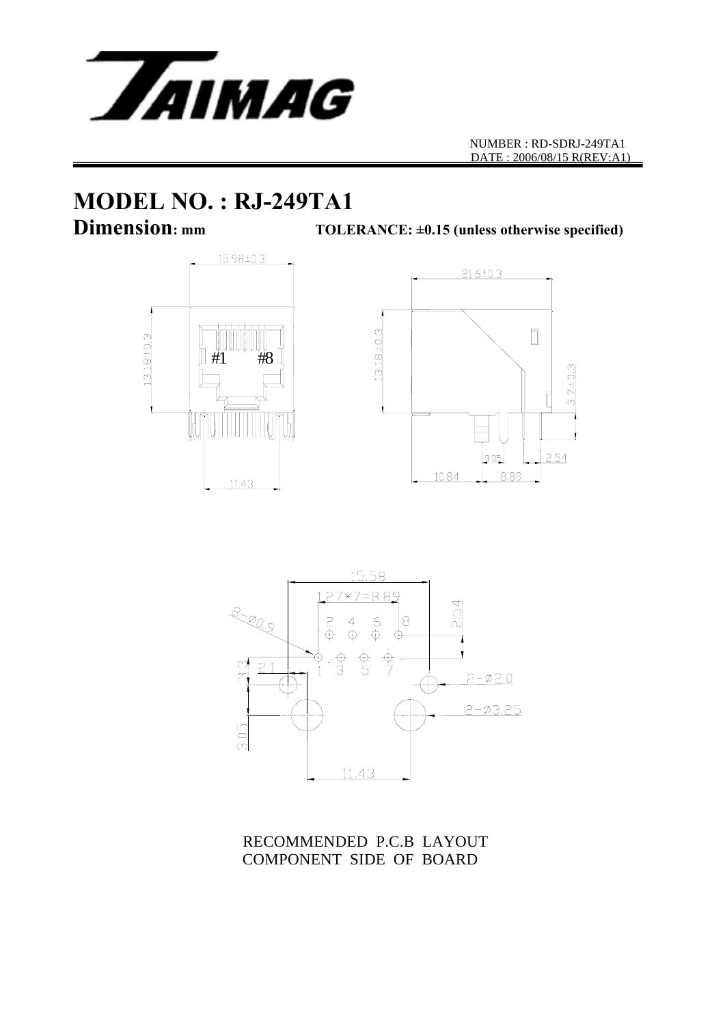

# **MODEL NO. : RJ-249TA1**<br>Dimension: mm<br>TOLE

TOLERANCE:  $\pm 0.15$  (unless otherwise specified)







RECOMMENDED P.C.B LAYOUT COMPONENT SIDE OF BOARD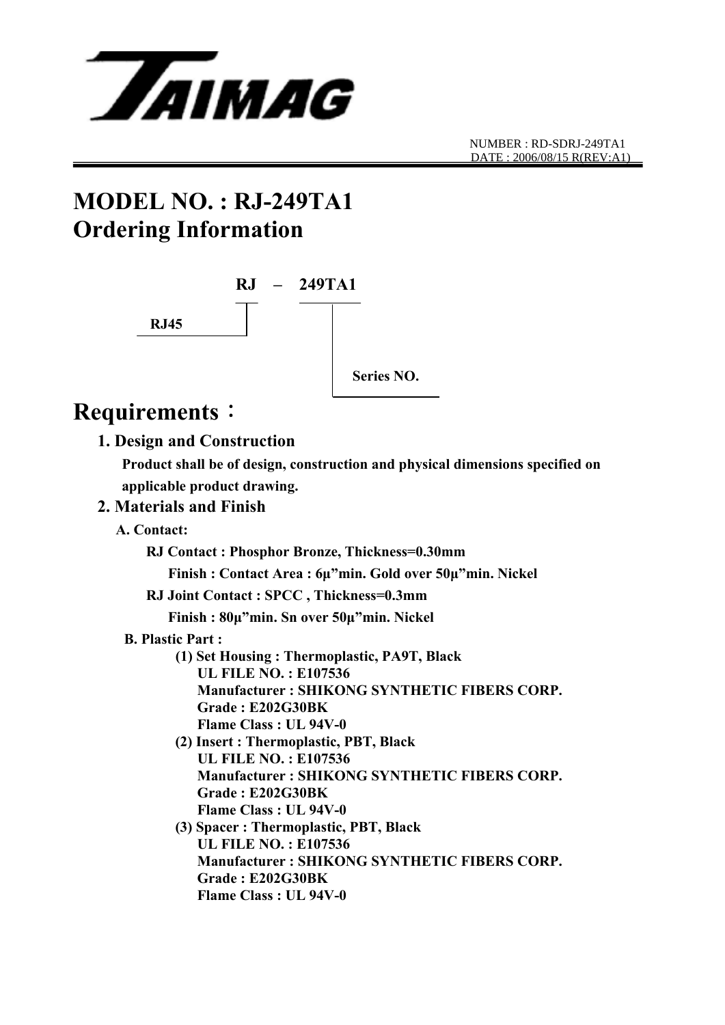

## **MODEL NO. : RJ-249TA1 Ordering Information**



## **Requirements**:

### **1. Design and Construction**

 **Product shall be of design, construction and physical dimensions specified on applicable product drawing.** 

### **2. Materials and Finish**

 **A. Contact:** 

 **RJ Contact : Phosphor Bronze, Thickness=0.30mm** 

 **Finish : Contact Area : 6μ"min. Gold over 50μ"min. Nickel** 

**RJ Joint Contact : SPCC , Thickness=0.3mm** 

 **Finish : 80μ"min. Sn over 50μ"min. Nickel** 

- **B. Plastic Part :** 
	- **(1) Set Housing : Thermoplastic, PA9T, Black UL FILE NO. : E107536 Manufacturer : SHIKONG SYNTHETIC FIBERS CORP. Grade : E202G30BK Flame Class : UL 94V-0**
	- **(2) Insert : Thermoplastic, PBT, Black UL FILE NO. : E107536 Manufacturer : SHIKONG SYNTHETIC FIBERS CORP. Grade : E202G30BK Flame Class : UL 94V-0**
	- **(3) Spacer : Thermoplastic, PBT, Black UL FILE NO. : E107536 Manufacturer : SHIKONG SYNTHETIC FIBERS CORP. Grade : E202G30BK Flame Class : UL 94V-0**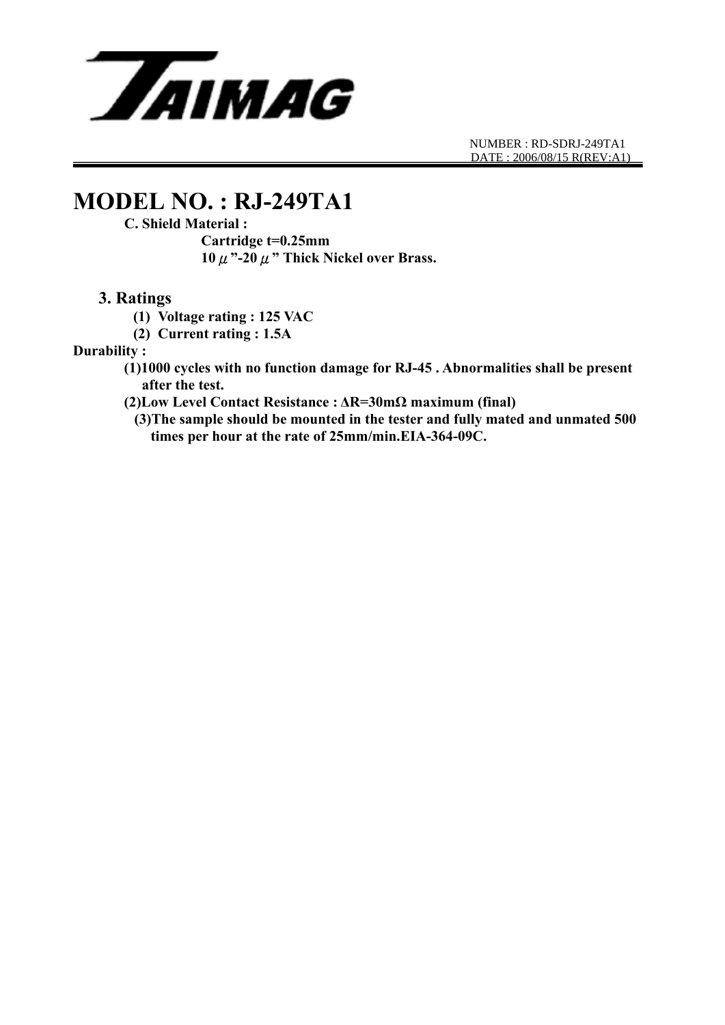

## **MODEL NO. : RJ-249TA1**

#### **C. Shield Material :**

 **Cartridge t=0.25mm 10**μ**"-20**μ**" Thick Nickel over Brass.** 

#### **3. Ratings**

- **(1) Voltage rating : 125 VAC**
- **(2) Current rating : 1.5A**

#### **Durability :**

- **(1)1000 cycles with no function damage for RJ-45 . Abnormalities shall be present after the test.**
- **(2)Low Level Contact Resistance : ΔR=30mΩ maximum (final)** 
	- **(3)The sample should be mounted in the tester and fully mated and unmated 500 times per hour at the rate of 25mm/min.EIA-364-09C.**